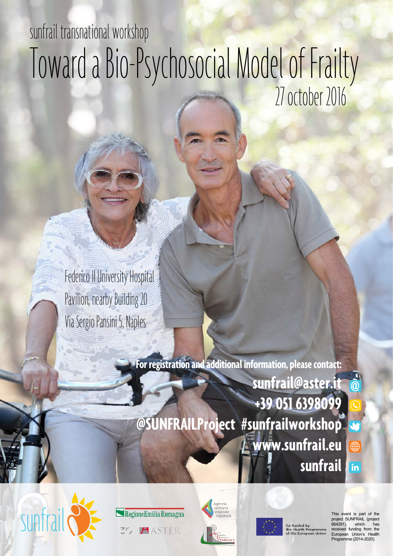# sunfrail transnational workshop Toward a Bio-Psychosocial Model of Frailty 27 october 2016

Federico II University Hospital Pavilion, nearby Building 20 Via Sergio Pansini 5, Naples

> **For registration and additional information, please contact: sunfrail@aster.it +39 051 6398099 @SUNFRAILProject #sunfrailworkshop**  $\overline{\mathbf{C}}$ **www.sunfrail.eu**  $\bigoplus$ **sunfrail**  $\overline{\mathsf{in}}$









This event is part of the project SUNFRAIL (project 664291), which has funding from the European Union's Health Programme (2014-2020).